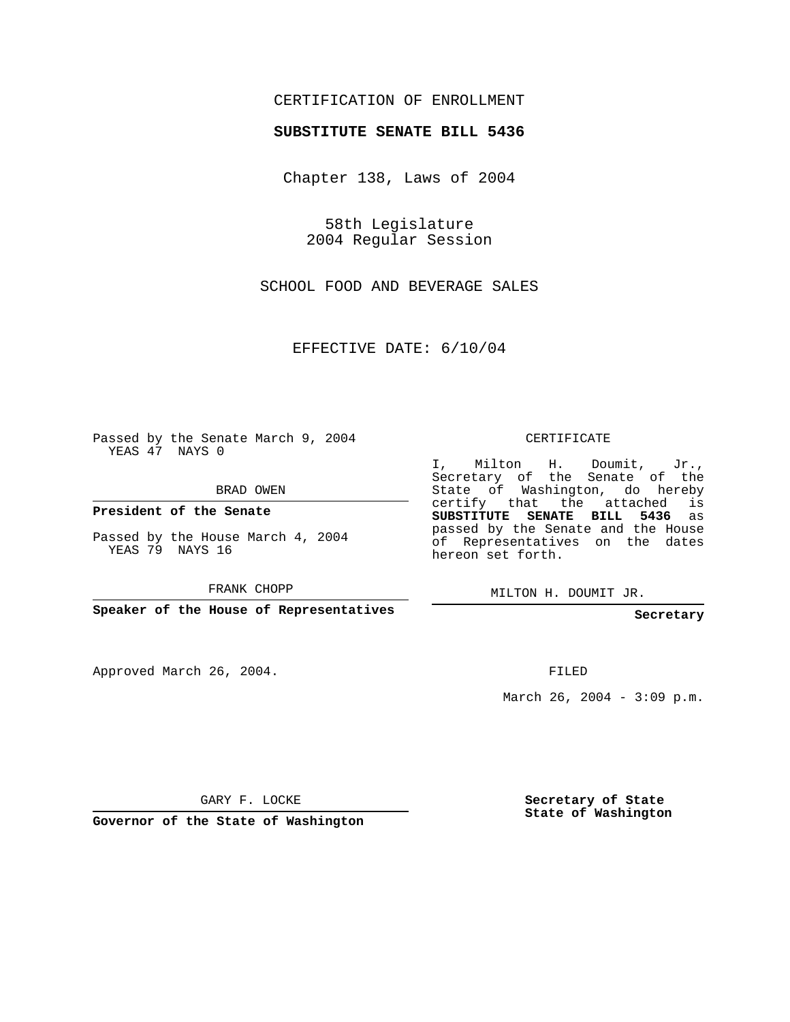## CERTIFICATION OF ENROLLMENT

## **SUBSTITUTE SENATE BILL 5436**

Chapter 138, Laws of 2004

58th Legislature 2004 Regular Session

SCHOOL FOOD AND BEVERAGE SALES

EFFECTIVE DATE: 6/10/04

Passed by the Senate March 9, 2004 YEAS 47 NAYS 0

BRAD OWEN

**President of the Senate**

Passed by the House March 4, 2004 YEAS 79 NAYS 16

FRANK CHOPP

**Speaker of the House of Representatives**

Approved March 26, 2004.

CERTIFICATE

I, Milton H. Doumit, Jr., Secretary of the Senate of the State of Washington, do hereby certify that the attached is **SUBSTITUTE SENATE BILL 5436** as passed by the Senate and the House of Representatives on the dates hereon set forth.

MILTON H. DOUMIT JR.

**Secretary**

FILED

March 26, 2004 - 3:09 p.m.

GARY F. LOCKE

**Governor of the State of Washington**

**Secretary of State State of Washington**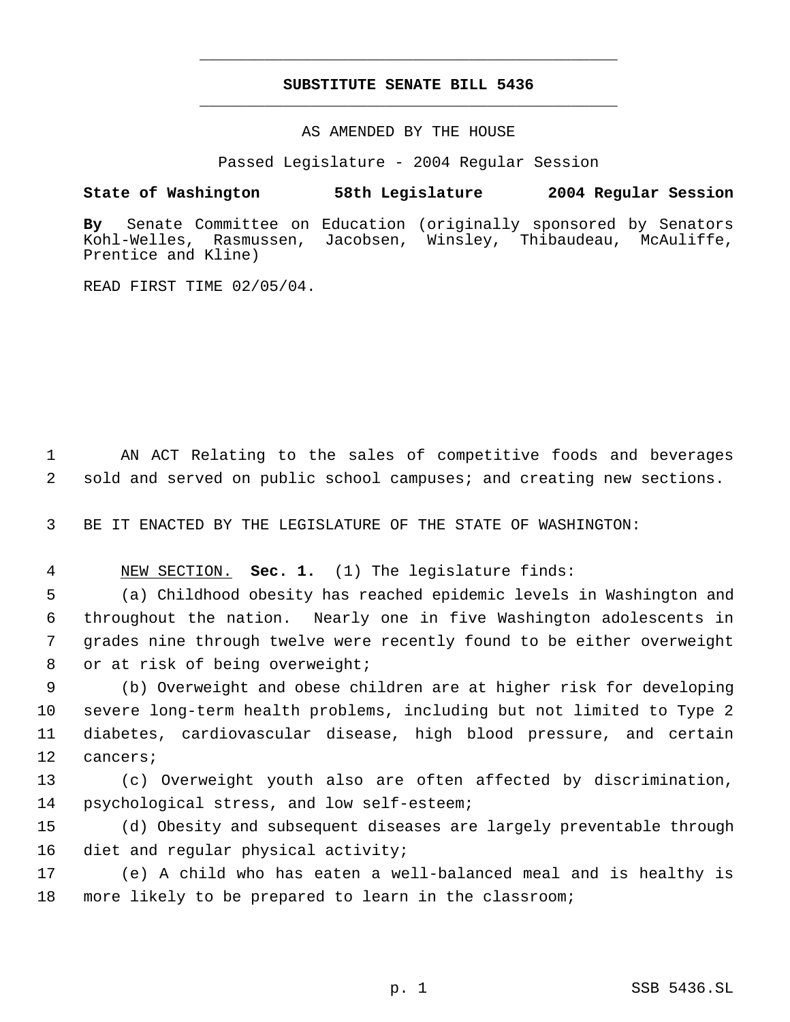## **SUBSTITUTE SENATE BILL 5436** \_\_\_\_\_\_\_\_\_\_\_\_\_\_\_\_\_\_\_\_\_\_\_\_\_\_\_\_\_\_\_\_\_\_\_\_\_\_\_\_\_\_\_\_\_

\_\_\_\_\_\_\_\_\_\_\_\_\_\_\_\_\_\_\_\_\_\_\_\_\_\_\_\_\_\_\_\_\_\_\_\_\_\_\_\_\_\_\_\_\_

AS AMENDED BY THE HOUSE

Passed Legislature - 2004 Regular Session

## **State of Washington 58th Legislature 2004 Regular Session**

**By** Senate Committee on Education (originally sponsored by Senators Rasmussen, Jacobsen, Winsley, Thibaudeau, McAuliffe, Prentice and Kline)

READ FIRST TIME 02/05/04.

 1 AN ACT Relating to the sales of competitive foods and beverages 2 sold and served on public school campuses; and creating new sections.

3 BE IT ENACTED BY THE LEGISLATURE OF THE STATE OF WASHINGTON:

4 NEW SECTION. **Sec. 1.** (1) The legislature finds:

 (a) Childhood obesity has reached epidemic levels in Washington and throughout the nation. Nearly one in five Washington adolescents in grades nine through twelve were recently found to be either overweight 8 or at risk of being overweight;

 (b) Overweight and obese children are at higher risk for developing severe long-term health problems, including but not limited to Type 2 diabetes, cardiovascular disease, high blood pressure, and certain 12 cancers;

13 (c) Overweight youth also are often affected by discrimination, 14 psychological stress, and low self-esteem;

15 (d) Obesity and subsequent diseases are largely preventable through 16 diet and regular physical activity;

17 (e) A child who has eaten a well-balanced meal and is healthy is 18 more likely to be prepared to learn in the classroom;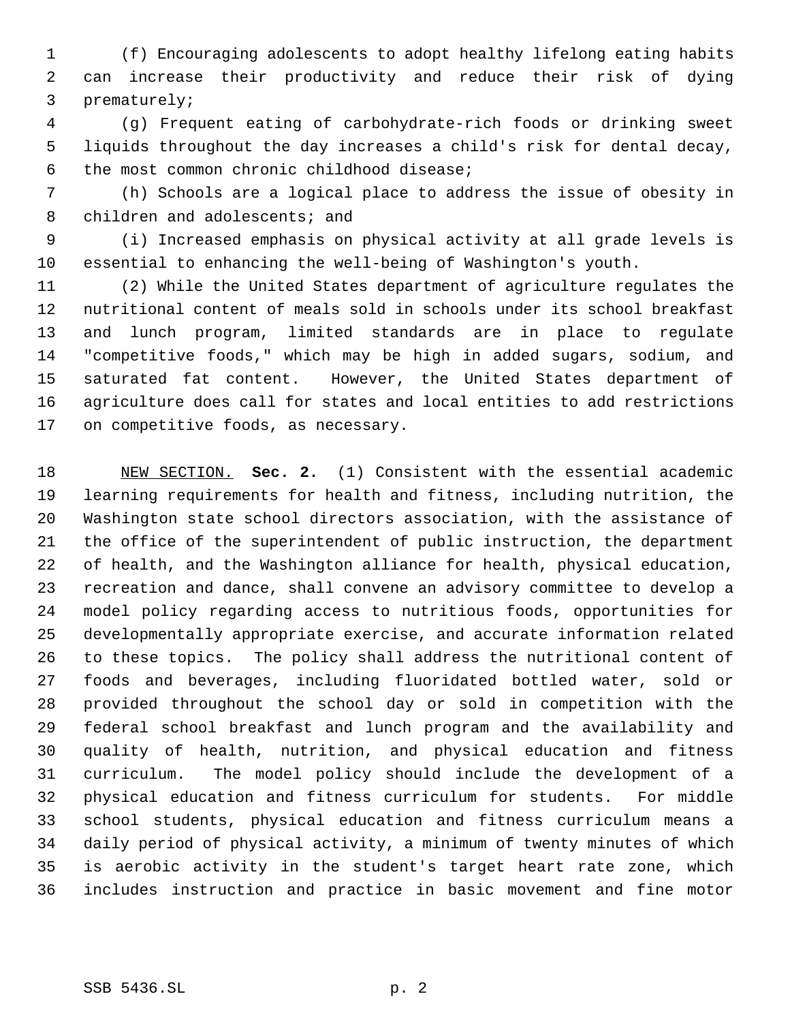(f) Encouraging adolescents to adopt healthy lifelong eating habits can increase their productivity and reduce their risk of dying prematurely;

 (g) Frequent eating of carbohydrate-rich foods or drinking sweet liquids throughout the day increases a child's risk for dental decay, the most common chronic childhood disease;

 (h) Schools are a logical place to address the issue of obesity in 8 children and adolescents; and

 (i) Increased emphasis on physical activity at all grade levels is essential to enhancing the well-being of Washington's youth.

 (2) While the United States department of agriculture regulates the nutritional content of meals sold in schools under its school breakfast and lunch program, limited standards are in place to regulate "competitive foods," which may be high in added sugars, sodium, and saturated fat content. However, the United States department of agriculture does call for states and local entities to add restrictions on competitive foods, as necessary.

 NEW SECTION. **Sec. 2.** (1) Consistent with the essential academic learning requirements for health and fitness, including nutrition, the Washington state school directors association, with the assistance of the office of the superintendent of public instruction, the department of health, and the Washington alliance for health, physical education, recreation and dance, shall convene an advisory committee to develop a model policy regarding access to nutritious foods, opportunities for developmentally appropriate exercise, and accurate information related to these topics. The policy shall address the nutritional content of foods and beverages, including fluoridated bottled water, sold or provided throughout the school day or sold in competition with the federal school breakfast and lunch program and the availability and quality of health, nutrition, and physical education and fitness curriculum. The model policy should include the development of a physical education and fitness curriculum for students. For middle school students, physical education and fitness curriculum means a daily period of physical activity, a minimum of twenty minutes of which is aerobic activity in the student's target heart rate zone, which includes instruction and practice in basic movement and fine motor